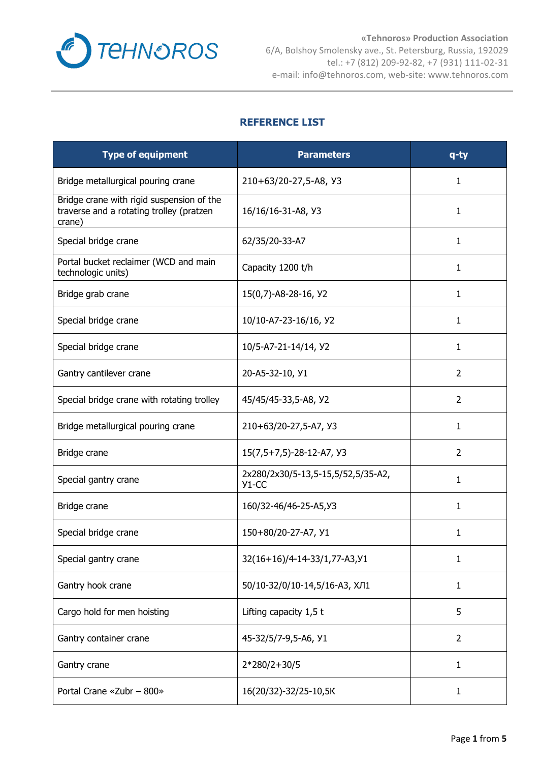

## **REFERENCE LIST**

| <b>Type of equipment</b>                                                                        | <b>Parameters</b>                             | $q$ -ty        |
|-------------------------------------------------------------------------------------------------|-----------------------------------------------|----------------|
| Bridge metallurgical pouring crane                                                              | 210+63/20-27,5-A8, Y3                         | 1.             |
| Bridge crane with rigid suspension of the<br>traverse and a rotating trolley (pratzen<br>crane) | 16/16/16-31-A8, Y3                            | 1              |
| Special bridge crane                                                                            | 62/35/20-33-A7                                | 1              |
| Portal bucket reclaimer (WCD and main<br>technologic units)                                     | Capacity 1200 t/h                             | 1              |
| Bridge grab crane                                                                               | 15(0,7)-A8-28-16, Y2                          | 1              |
| Special bridge crane                                                                            | 10/10-A7-23-16/16, Y2                         | 1              |
| Special bridge crane                                                                            | 10/5-A7-21-14/14, Y2                          | 1              |
| Gantry cantilever crane                                                                         | 20-A5-32-10, Y1                               | $\overline{2}$ |
| Special bridge crane with rotating trolley                                                      | 45/45/45-33,5-A8, Y2                          | 2              |
| Bridge metallurgical pouring crane                                                              | 210+63/20-27,5-A7, Y3                         | 1              |
| Bridge crane                                                                                    | 15(7,5+7,5)-28-12-A7, Y3                      | 2              |
| Special gantry crane                                                                            | 2x280/2x30/5-13,5-15,5/52,5/35-A2,<br>$Y1-CC$ | 1              |
| Bridge crane                                                                                    | 160/32-46/46-25-A5, Y3                        | 1              |
| Special bridge crane                                                                            | 150+80/20-27-A7, Y1                           | 1              |
| Special gantry crane                                                                            | 32(16+16)/4-14-33/1,77-A3, 91                 | 1              |
| Gantry hook crane                                                                               | 50/10-32/0/10-14,5/16-А3, ХЛ1                 | 1              |
| Cargo hold for men hoisting                                                                     | Lifting capacity 1,5 t                        | 5              |
| Gantry container crane                                                                          | 45-32/5/7-9,5-A6, Y1                          | 2              |
| Gantry crane                                                                                    | 2*280/2+30/5                                  | 1              |
| Portal Crane «Zubr - 800»                                                                       | 16(20/32)-32/25-10,5K                         | 1              |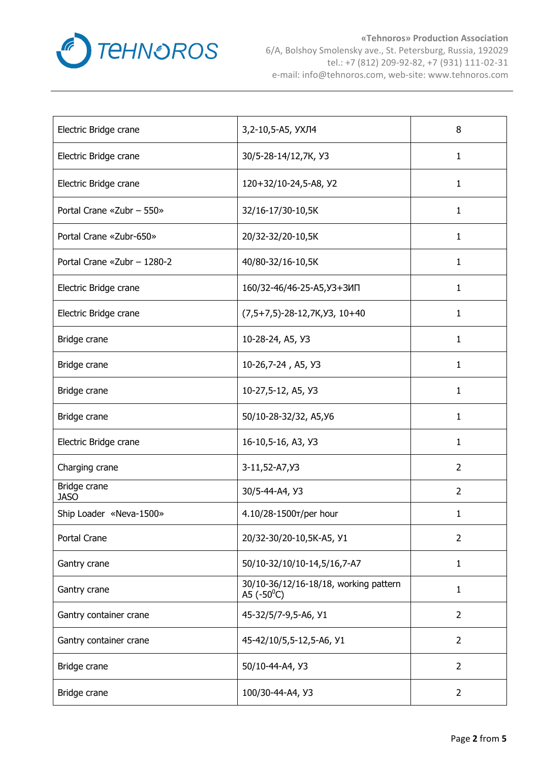

| Electric Bridge crane       | 3,2-10,5-A5, УХЛ4                                            | 8              |
|-----------------------------|--------------------------------------------------------------|----------------|
| Electric Bridge crane       | 30/5-28-14/12,7K, Y3                                         | 1              |
| Electric Bridge crane       | 120+32/10-24,5-A8, Y2                                        | 1              |
| Portal Crane «Zubr - 550»   | 32/16-17/30-10,5K                                            | 1              |
| Portal Crane «Zubr-650»     | 20/32-32/20-10,5K                                            | 1              |
| Portal Crane «Zubr - 1280-2 | 40/80-32/16-10,5K                                            | 1              |
| Electric Bridge crane       | 160/32-46/46-25-A5, УЗ+ЗИП                                   | 1              |
| Electric Bridge crane       | $(7,5+7,5)$ -28-12,7K, Y3, 10+40                             | 1              |
| Bridge crane                | 10-28-24, A5, Y3                                             | 1              |
| Bridge crane                | 10-26,7-24, A5, Y3                                           | 1              |
| Bridge crane                | 10-27,5-12, A5, Y3                                           | $\mathbf{1}$   |
| Bridge crane                | 50/10-28-32/32, A5, Y6                                       | 1              |
| Electric Bridge crane       | 16-10,5-16, A3, Y3                                           | $\mathbf{1}$   |
| Charging crane              | 3-11,52-A7, <i>Y</i> 3                                       | 2              |
| Bridge crane<br><b>JASO</b> | 30/5-44-A4, Y3                                               | 2              |
| Ship Loader «Neva-1500»     | 4.10/28-1500T/per hour                                       | 1              |
| Portal Crane                | 20/32-30/20-10,5K-A5, Y1                                     | $\overline{2}$ |
| Gantry crane                | 50/10-32/10/10-14,5/16,7-A7                                  | $\mathbf{1}$   |
| Gantry crane                | 30/10-36/12/16-18/18, working pattern<br>A5 $(-50^{\circ}C)$ | 1              |
| Gantry container crane      | 45-32/5/7-9,5-A6, Y1                                         | $\overline{2}$ |
| Gantry container crane      | 45-42/10/5,5-12,5-A6, Y1                                     | $\overline{2}$ |
| Bridge crane                | 50/10-44-A4, Y3                                              | $\overline{2}$ |
| Bridge crane                | 100/30-44-A4, Y3                                             | $\overline{2}$ |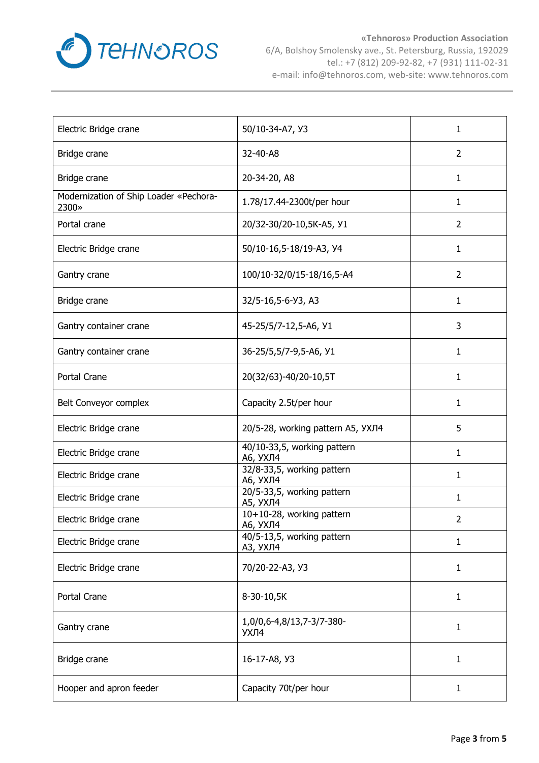

| Electric Bridge crane                           | 50/10-34-A7, Y3                               | 1              |
|-------------------------------------------------|-----------------------------------------------|----------------|
| Bridge crane                                    | 32-40-A8                                      | $\overline{2}$ |
| Bridge crane                                    | 20-34-20, A8                                  | 1              |
| Modernization of Ship Loader «Pechora-<br>2300» | 1.78/17.44-2300t/per hour                     | 1              |
| Portal crane                                    | 20/32-30/20-10,5K-A5, Y1                      | $\overline{2}$ |
| Electric Bridge crane                           | 50/10-16,5-18/19-A3, Y4                       | 1              |
| Gantry crane                                    | 100/10-32/0/15-18/16,5-A4                     | $\overline{2}$ |
| Bridge crane                                    | 32/5-16,5-6-Y3, A3                            | 1              |
| Gantry container crane                          | 45-25/5/7-12,5-A6, Y1                         | 3              |
| Gantry container crane                          | 36-25/5,5/7-9,5-A6, Y1                        | 1              |
| Portal Crane                                    | 20(32/63)-40/20-10,5T                         | 1              |
| Belt Conveyor complex                           | Capacity 2.5t/per hour                        | 1              |
| Electric Bridge crane                           | 20/5-28, working pattern A5, УХЛ4             | 5              |
| Electric Bridge crane                           | 40/10-33,5, working pattern<br>А6, УХЛ4       | 1              |
| Electric Bridge crane                           | 32/8-33,5, working pattern<br>А6, УХЛ4        | 1              |
| Electric Bridge crane                           | 20/5-33,5, working pattern<br><b>А5, УХЛ4</b> | $\mathbf{1}$   |
| Electric Bridge crane                           | 10+10-28, working pattern<br>А6, УХЛ4         | 2              |
| Electric Bridge crane                           | 40/5-13,5, working pattern<br>АЗ, УХЛ4        | 1              |
| Electric Bridge crane                           | 70/20-22-A3, Y3                               | 1              |
| Portal Crane                                    | 8-30-10,5K                                    | 1              |
| Gantry crane                                    | 1,0/0,6-4,8/13,7-3/7-380-<br>УХЛ4             | 1              |
| Bridge crane                                    | 16-17-A8, Y3                                  | 1              |
| Hooper and apron feeder                         | Capacity 70t/per hour                         | 1              |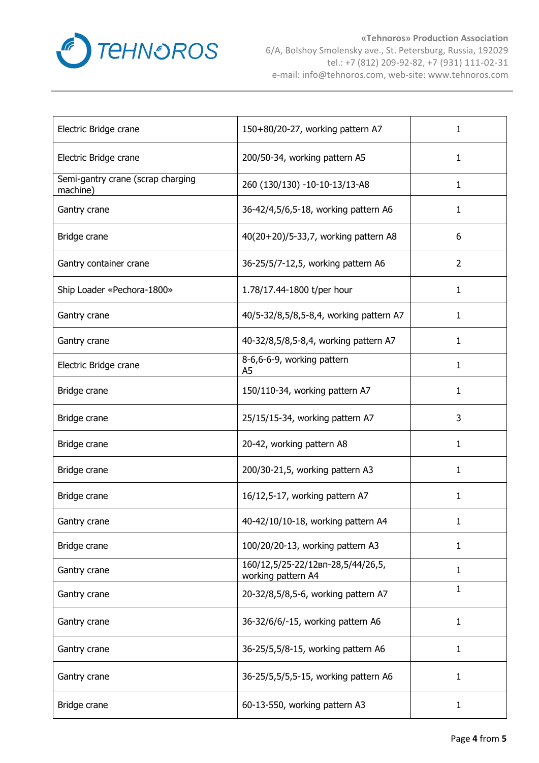

| Electric Bridge crane                         | 150+80/20-27, working pattern A7                        | 1              |
|-----------------------------------------------|---------------------------------------------------------|----------------|
| Electric Bridge crane                         | 200/50-34, working pattern A5                           | 1              |
| Semi-gantry crane (scrap charging<br>machine) | 260 (130/130) -10-10-13/13-A8                           | 1              |
| Gantry crane                                  | 36-42/4,5/6,5-18, working pattern A6                    | 1              |
| Bridge crane                                  | 40(20+20)/5-33,7, working pattern A8                    | 6              |
| Gantry container crane                        | 36-25/5/7-12,5, working pattern A6                      | $\overline{2}$ |
| Ship Loader «Pechora-1800»                    | 1.78/17.44-1800 t/per hour                              | 1              |
| Gantry crane                                  | 40/5-32/8,5/8,5-8,4, working pattern A7                 | 1              |
| Gantry crane                                  | 40-32/8,5/8,5-8,4, working pattern A7                   | 1              |
| Electric Bridge crane                         | 8-6,6-6-9, working pattern<br>A <sub>5</sub>            | 1              |
| Bridge crane                                  | 150/110-34, working pattern A7                          | 1              |
| Bridge crane                                  | 25/15/15-34, working pattern A7                         | 3              |
| Bridge crane                                  | 20-42, working pattern A8                               | 1              |
| Bridge crane                                  | 200/30-21,5, working pattern A3                         | 1              |
| Bridge crane                                  | 16/12,5-17, working pattern A7                          | 1              |
| Gantry crane                                  | 40-42/10/10-18, working pattern A4                      | 1              |
| Bridge crane                                  | 100/20/20-13, working pattern A3                        | 1              |
| Gantry crane                                  | 160/12,5/25-22/12вп-28,5/44/26,5,<br>working pattern A4 | 1              |
| Gantry crane                                  | 20-32/8,5/8,5-6, working pattern A7                     | 1              |
| Gantry crane                                  | 36-32/6/6/-15, working pattern A6                       | 1              |
| Gantry crane                                  | 36-25/5,5/8-15, working pattern A6                      | 1              |
| Gantry crane                                  | 36-25/5,5/5,5-15, working pattern A6                    | 1              |
| Bridge crane                                  | 60-13-550, working pattern A3                           | $\mathbf{1}$   |